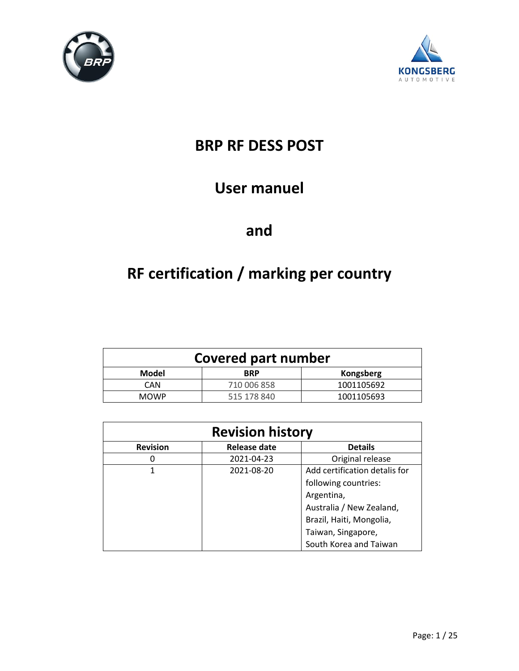



# **BRP RF DESS POST**

# **User manuel**

# **and**

# **RF certification / marking per country**

| Covered part number |             |            |
|---------------------|-------------|------------|
| Model               | <b>BRP</b>  | Kongsberg  |
| CAN                 | 710 006 858 | 1001105692 |
| <b>MOWP</b>         | 515 178 840 | 1001105693 |

| <b>Revision history</b> |                     |                               |
|-------------------------|---------------------|-------------------------------|
| <b>Revision</b>         | <b>Release date</b> | <b>Details</b>                |
|                         | 2021-04-23          | Original release              |
|                         | 2021-08-20          | Add certification detalis for |
|                         |                     | following countries:          |
|                         |                     | Argentina,                    |
|                         |                     | Australia / New Zealand,      |
|                         |                     | Brazil, Haiti, Mongolia,      |
|                         |                     | Taiwan, Singapore,            |
|                         |                     | South Korea and Taiwan        |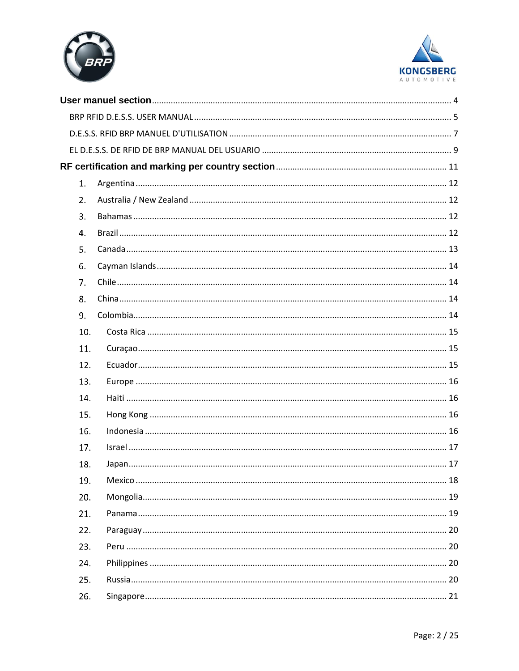



| 1.  |  |
|-----|--|
| 2.  |  |
| 3.  |  |
| 4.  |  |
| 5.  |  |
| 6.  |  |
| 7.  |  |
| 8.  |  |
| 9.  |  |
| 10. |  |
| 11. |  |
| 12. |  |
| 13. |  |
| 14. |  |
| 15. |  |
| 16. |  |
| 17. |  |
| 18. |  |
| 19. |  |
| 20. |  |
| 21. |  |
| 22. |  |
| 23. |  |
| 24. |  |
| 25. |  |
| 26. |  |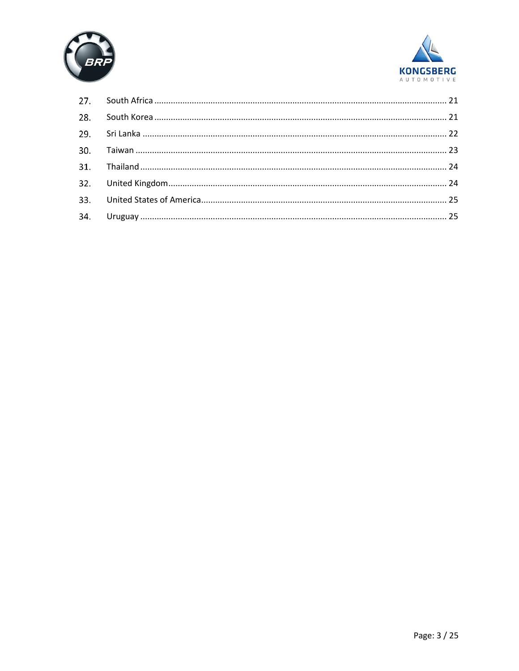

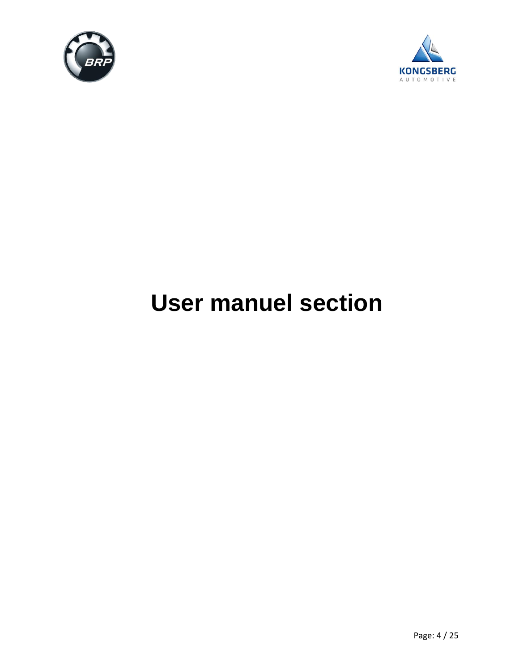



# <span id="page-3-0"></span>**User manuel section**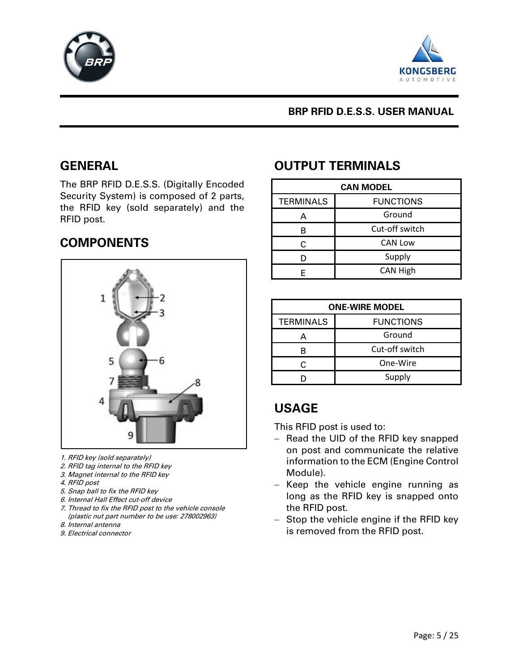



#### **BRP RFID D.E.S.S. USER MANUAL**

#### <span id="page-4-0"></span>**GENERAL**

The BRP RFID D.E.S.S. (Digitally Encoded Security System) is composed of 2 parts, the RFID key (sold separately) and the RFID post.

#### **COMPONENTS**



- 1. RFID key (sold separately)
- 2. RFID tag internal to the RFID key
- 3. Magnet internal to the RFID key
- 4. RFID post
- 5. Snap ball to fix the RFID key
- 6. Internal Hall Effect cut-off device
- 7. Thread to fix the RFID post to the vehicle console (plastic nut part number to be use: 278002963)
- 8. Internal antenna
- 9. Electrical connector

#### **OUTPUT TERMINALS**

| <b>CAN MODEL</b> |                  |  |
|------------------|------------------|--|
| <b>TERMINALS</b> | <b>FUNCTIONS</b> |  |
| А                | Ground           |  |
| R                | Cut-off switch   |  |
| C                | <b>CAN Low</b>   |  |
|                  | Supply           |  |
|                  | <b>CAN High</b>  |  |

| <b>ONE-WIRE MODEL</b> |                  |
|-----------------------|------------------|
| <b>TERMINALS</b>      | <b>FUNCTIONS</b> |
|                       | Ground           |
| R                     | Cut-off switch   |
|                       | One-Wire         |
|                       | Supply           |

#### **USAGE**

This RFID post is used to:

- − Read the UID of the RFID key snapped on post and communicate the relative information to the ECM (Engine Control Module).
- − Keep the vehicle engine running as long as the RFID key is snapped onto the RFID post.
- − Stop the vehicle engine if the RFID key is removed from the RFID post.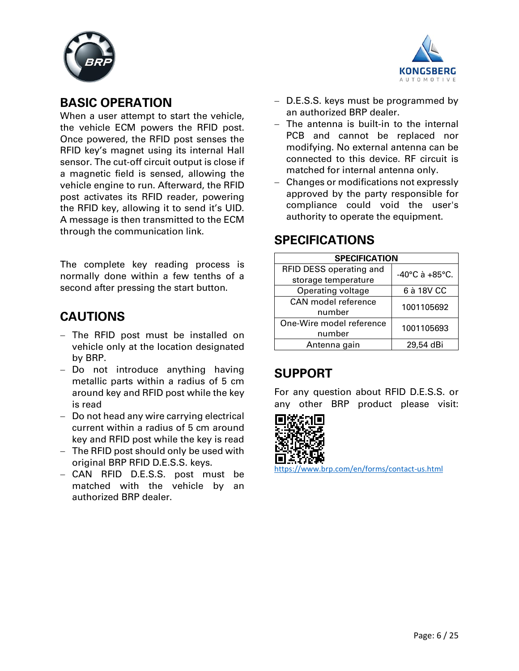



#### **BASIC OPERATION**

When a user attempt to start the vehicle, the vehicle ECM powers the RFID post. Once powered, the RFID post senses the RFID key's magnet using its internal Hall sensor. The cut-off circuit output is close if a magnetic field is sensed, allowing the vehicle engine to run. Afterward, the RFID post activates its RFID reader, powering the RFID key, allowing it to send it's UID. A message is then transmitted to the ECM through the communication link.

The complete key reading process is normally done within a few tenths of a second after pressing the start button.

#### **CAUTIONS**

- − The RFID post must be installed on vehicle only at the location designated by BRP.
- − Do not introduce anything having metallic parts within a radius of 5 cm around key and RFID post while the key is read
- − Do not head any wire carrying electrical current within a radius of 5 cm around key and RFID post while the key is read
- − The RFID post should only be used with original BRP RFID D.E.S.S. keys.
- − CAN RFID D.E.S.S. post must be matched with the vehicle by an authorized BRP dealer.
- − D.E.S.S. keys must be programmed by an authorized BRP dealer.
- − The antenna is built-in to the internal PCB and cannot be replaced nor modifying. No external antenna can be connected to this device. RF circuit is matched for internal antenna only.
- − Changes or modifications not expressly approved by the party responsible for compliance could void the user's authority to operate the equipment.

#### **SPECIFICATIONS**

| <b>SPECIFICATION</b>     |                |  |
|--------------------------|----------------|--|
| RFID DESS operating and  | -40°C à +85°C. |  |
| storage temperature      |                |  |
| Operating voltage        | 6 à 18V CC     |  |
| CAN model reference      |                |  |
| number                   | 1001105692     |  |
| One-Wire model reference |                |  |
| number                   | 1001105693     |  |
| Antenna gain             | 29,54 dBi      |  |

## **SUPPORT**

For any question about RFID D.E.S.S. or any other BRP product please visit:



<https://www.brp.com/en/forms/contact-us.html>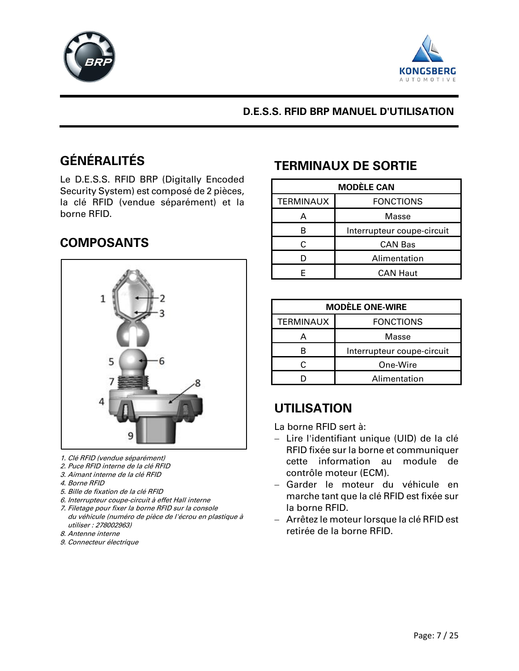



#### **D.E.S.S. RFID BRP MANUEL D'UTILISATION**

# <span id="page-6-0"></span>**GÉNÉRALITÉS**

Le D.E.S.S. RFID BRP (Digitally Encoded Security System) est composé de 2 pièces, la clé RFID (vendue séparément) et la borne RFID.

#### **COMPOSANTS**



- 1. Clé RFID (vendue séparément)
- 2. Puce RFID interne de la clé RFID
- 3. Aimant interne de la clé RFID
- 4. Borne RFID
- 5. Bille de fixation de la clé RFID
- 6. Interrupteur coupe-circuit à effet Hall interne
- 7. Filetage pour fixer la borne RFID sur la console du véhicule (numéro de pièce de l'écrou en plastique à utiliser : 278002963)
- 8. Antenne interne
- 9. Connecteur électrique

## **TERMINAUX DE SORTIE**

| <b>MODÈLE CAN</b> |                            |  |
|-------------------|----------------------------|--|
| <b>TERMINAUX</b>  | <b>FONCTIONS</b>           |  |
| А                 | Masse                      |  |
|                   | Interrupteur coupe-circuit |  |
| C                 | <b>CAN Bas</b>             |  |
|                   | Alimentation               |  |
|                   | <b>CAN Haut</b>            |  |

| <b>MODÈLE ONE-WIRE</b>               |                            |
|--------------------------------------|----------------------------|
| <b>TERMINAUX</b><br><b>FONCTIONS</b> |                            |
| Д                                    | Masse                      |
| R                                    | Interrupteur coupe-circuit |
|                                      | One-Wire                   |
|                                      | Alimentation               |

## **UTILISATION**

La borne RFID sert à:

- − Lire l'identifiant unique (UID) de la clé RFID fixée sur la borne et communiquer cette information au module de contrôle moteur (ECM).
- − Garder le moteur du véhicule en marche tant que la clé RFID est fixée sur la borne RFID.
- − Arrêtez le moteur lorsque la clé RFID est retirée de la borne RFID.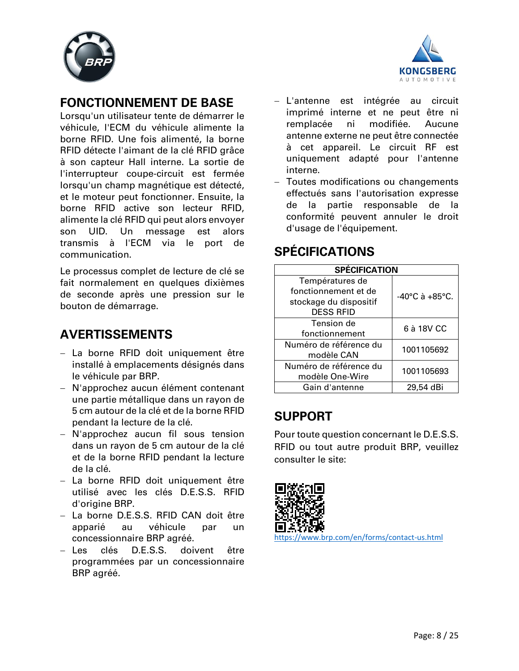



#### **FONCTIONNEMENT DE BASE**

Lorsqu'un utilisateur tente de démarrer le véhicule, l'ECM du véhicule alimente la borne RFID. Une fois alimenté, la borne RFID détecte l'aimant de la clé RFID grâce à son capteur Hall interne. La sortie de l'interrupteur coupe-circuit est fermée lorsqu'un champ magnétique est détecté, et le moteur peut fonctionner. Ensuite, la borne RFID active son lecteur RFID, alimente la clé RFID qui peut alors envoyer son UID. Un message est alors transmis à l'ECM via le port de communication.

Le processus complet de lecture de clé se fait normalement en quelques dixièmes de seconde après une pression sur le bouton de démarrage.

#### **AVERTISSEMENTS**

- − La borne RFID doit uniquement être installé à emplacements désignés dans le véhicule par BRP.
- − N'approchez aucun élément contenant une partie métallique dans un rayon de 5 cm autour de la clé et de la borne RFID pendant la lecture de la clé.
- − N'approchez aucun fil sous tension dans un rayon de 5 cm autour de la clé et de la borne RFID pendant la lecture de la clé.
- − La borne RFID doit uniquement être utilisé avec les clés D.E.S.S. RFID d'origine BRP.
- − La borne D.E.S.S. RFID CAN doit être apparié au véhicule par un concessionnaire BRP agréé.
- − Les clés D.E.S.S. doivent être programmées par un concessionnaire BRP agréé.
- − L'antenne est intégrée au circuit imprimé interne et ne peut être ni remplacée ni modifiée. Aucune antenne externe ne peut être connectée à cet appareil. Le circuit RF est uniquement adapté pour l'antenne interne.
- − Toutes modifications ou changements effectués sans l'autorisation expresse de la partie responsable de la conformité peuvent annuler le droit d'usage de l'équipement.

#### **SPÉCIFICATIONS**

| <b>SPÉCIFICATION</b>   |                                    |
|------------------------|------------------------------------|
| Températures de        |                                    |
| fonctionnement et de   | $-40^{\circ}$ C à $+85^{\circ}$ C. |
| stockage du dispositif |                                    |
| <b>DESS RFID</b>       |                                    |
| Tension de             | 6 à 18V CC                         |
| fonctionnement         |                                    |
| Numéro de référence du | 1001105692                         |
| modèle CAN             |                                    |
| Numéro de référence du | 1001105693                         |
| modèle One-Wire        |                                    |
| Gain d'antenne         | 29,54 dBi                          |

## **SUPPORT**

Pour toute question concernant le D.E.S.S. RFID ou tout autre produit BRP, veuillez consulter le site:

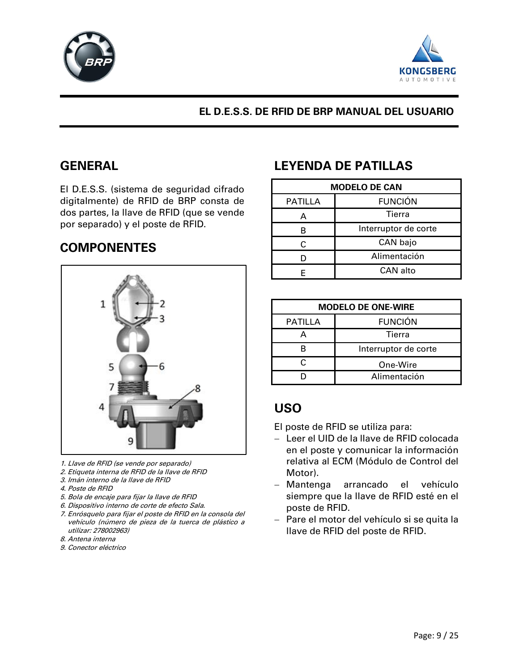



#### **EL D.E.S.S. DE RFID DE BRP MANUAL DEL USUARIO**

#### <span id="page-8-0"></span>**GENERAL**

El D.E.S.S. (sistema de seguridad cifrado digitalmente) de RFID de BRP consta de dos partes, la llave de RFID (que se vende por separado) y el poste de RFID.

#### **COMPONENTES**



- 1. Llave de RFID (se vende por separado)
- 2. Etiqueta interna de RFID de la llave de RFID
- 3. Imán interno de la llave de RFID
- 4. Poste de RFID
- 5. Bola de encaje para fijar la llave de RFID
- 6. Dispositivo interno de corte de efecto Sala.
- 7. Enrósquelo para fijar el poste de RFID en la consola del vehículo (número de pieza de la tuerca de plástico a utilizar: 278002963)
- 8. Antena interna
- 9. Conector eléctrico

#### **LEYENDA DE PATILLAS**

| <b>MODELO DE CAN</b> |                      |  |
|----------------------|----------------------|--|
| <b>PATILLA</b>       | <b>FUNCIÓN</b>       |  |
| А                    | Tierra               |  |
| R                    | Interruptor de corte |  |
| C                    | CAN bajo             |  |
|                      | Alimentación         |  |
|                      | CAN alto             |  |

| <b>MODELO DE ONE-WIRE</b>        |                      |
|----------------------------------|----------------------|
| <b>FUNCIÓN</b><br><b>PATILLA</b> |                      |
|                                  | Tierra               |
|                                  | Interruptor de corte |
|                                  | One-Wire             |
|                                  | Alimentación         |

## **USO**

El poste de RFID se utiliza para:

- − Leer el UID de la llave de RFID colocada en el poste y comunicar la información relativa al ECM (Módulo de Control del Motor).
- − Mantenga arrancado el vehículo siempre que la llave de RFID esté en el poste de RFID.
- − Pare el motor del vehículo si se quita la llave de RFID del poste de RFID.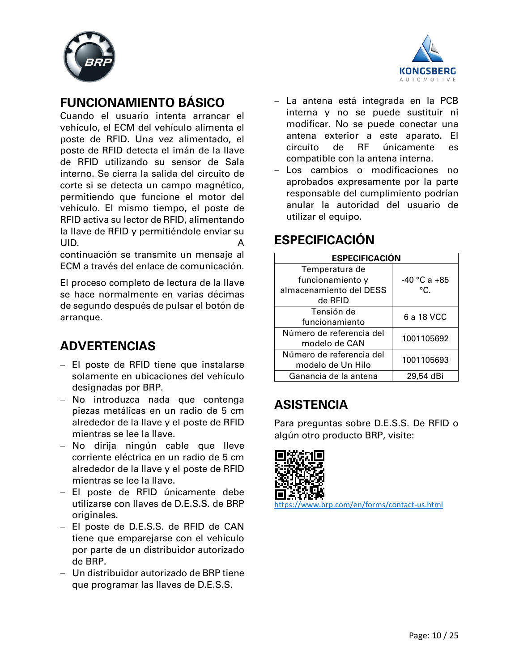



#### **FUNCIONAMIENTO BÁSICO**

Cuando el usuario intenta arrancar el vehículo, el ECM del vehículo alimenta el poste de RFID. Una vez alimentado, el poste de RFID detecta el imán de la llave de RFID utilizando su sensor de Sala interno. Se cierra la salida del circuito de corte si se detecta un campo magnético, permitiendo que funcione el motor del vehículo. El mismo tiempo, el poste de RFID activa su lector de RFID, alimentando la llave de RFID y permitiéndole enviar su UID. A

continuación se transmite un mensaje al ECM a través del enlace de comunicación.

El proceso completo de lectura de la llave se hace normalmente en varias décimas de segundo después de pulsar el botón de arranque.

# **ADVERTENCIAS**

- − El poste de RFID tiene que instalarse solamente en ubicaciones del vehículo designadas por BRP.
- − No introduzca nada que contenga piezas metálicas en un radio de 5 cm alrededor de la llave y el poste de RFID mientras se lee la llave.
- − No dirija ningún cable que lleve corriente eléctrica en un radio de 5 cm alrededor de la llave y el poste de RFID mientras se lee la llave.
- − El poste de RFID únicamente debe utilizarse con llaves de D.E.S.S. de BRP originales.
- − El poste de D.E.S.S. de RFID de CAN tiene que emparejarse con el vehículo por parte de un distribuidor autorizado de BRP.
- − Un distribuidor autorizado de BRP tiene que programar las llaves de D.E.S.S.
- − La antena está integrada en la PCB interna y no se puede sustituir ni modificar. No se puede conectar una antena exterior a este aparato. El circuito de RF únicamente es compatible con la antena interna.
- Los cambios o modificaciones no aprobados expresamente por la parte responsable del cumplimiento podrían anular la autoridad del usuario de utilizar el equipo.

# **ESPECIFICACIÓN**

| <b>ESPECIFICACIÓN</b>    |                  |  |  |
|--------------------------|------------------|--|--|
| Temperatura de           |                  |  |  |
| funcionamiento y         | $-40$ °C a $+85$ |  |  |
| almacenamiento del DESS  | °C.              |  |  |
| de RFID                  |                  |  |  |
| Tensión de               | 6 a 18 VCC       |  |  |
| funcionamiento           |                  |  |  |
| Número de referencia del | 1001105692       |  |  |
| modelo de CAN            |                  |  |  |
| Número de referencia del |                  |  |  |
| modelo de Un Hilo        | 1001105693       |  |  |
| Ganancia de la antena    | 29,54 dBi        |  |  |

## **ASISTENCIA**

Para preguntas sobre D.E.S.S. De RFID o algún otro producto BRP, visite:



<https://www.brp.com/en/forms/contact-us.html>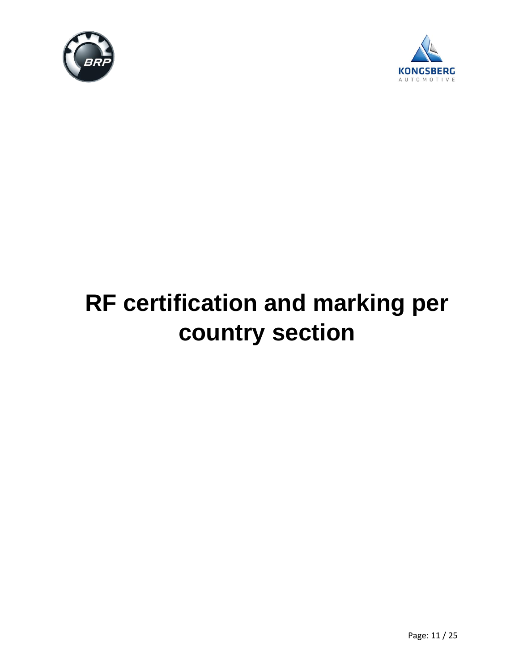



# <span id="page-10-0"></span>**RF certification and marking per country section**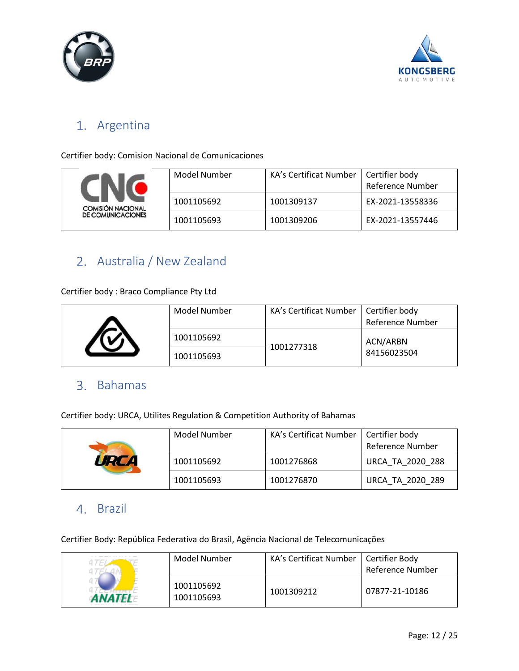



## <span id="page-11-0"></span>Argentina

**DE COMUNI** 

Certifier body: Comision Nacional de Comunicaciones

|                 | Model Number | <b>KA's Certificat Number</b> | Certifier body<br><b>Reference Number</b> |
|-----------------|--------------|-------------------------------|-------------------------------------------|
| <b>JACIONAL</b> | 1001105692   | 1001309137                    | EX-2021-13558336                          |
| CACIONES        | 1001105693   | 1001309206                    | EX-2021-13557446                          |

# <span id="page-11-1"></span>2. Australia / New Zealand

Certifier body : Braco Compliance Pty Ltd

|  | Model Number | KA's Certificat Number   Certifier body | Reference Number |
|--|--------------|-----------------------------------------|------------------|
|  | 1001105692   | 1001277318                              | ACN/ARBN         |
|  | 1001105693   |                                         | 84156023504      |

# <span id="page-11-2"></span>3. Bahamas

Certifier body: URCA, Utilites Regulation & Competition Authority of Bahamas

| Model Number | KA's Certificat Number | Certifier body<br>Reference Number |
|--------------|------------------------|------------------------------------|
| 1001105692   | 1001276868             | URCA_TA_2020 288                   |
| 1001105693   | 1001276870             | URCA TA 2020 289                   |

#### <span id="page-11-3"></span>4. Brazil

Certifier Body: República Federativa do Brasil, Agência Nacional de Telecomunicações

| Model Number             | KA's Certificat Number | Certifier Body<br><b>Reference Number</b> |
|--------------------------|------------------------|-------------------------------------------|
| 1001105692<br>1001105693 | 1001309212             | 07877-21-10186                            |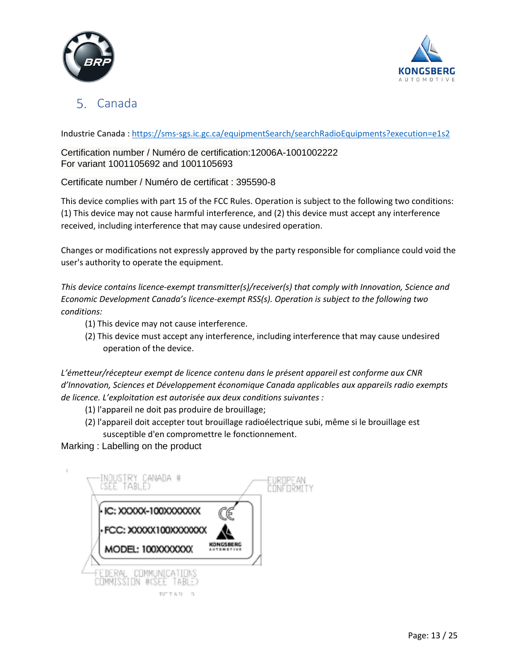



#### <span id="page-12-0"></span>Canada 5.

Industrie Canada [: https://sms-sgs.ic.gc.ca/equipmentSearch/searchRadioEquipments?execution=e1s2](https://sms-sgs.ic.gc.ca/equipmentSearch/searchRadioEquipments?execution=e1s2)

#### Certification number / Numéro de certification:12006A-1001002222 For variant 1001105692 and 1001105693

Certificate number / Numéro de certificat : 395590-8

This device complies with part 15 of the FCC Rules. Operation is subject to the following two conditions: (1) This device may not cause harmful interference, and (2) this device must accept any interference received, including interference that may cause undesired operation.

Changes or modifications not expressly approved by the party responsible for compliance could void the user's authority to operate the equipment.

*This device contains licence-exempt transmitter(s)/receiver(s) that comply with Innovation, Science and Economic Development Canada's licence-exempt RSS(s). Operation is subject to the following two conditions:*

- (1) This device may not cause interference.
- (2) This device must accept any interference, including interference that may cause undesired operation of the device.

*L'émetteur/récepteur exempt de licence contenu dans le présent appareil est conforme aux CNR d'Innovation, Sciences et Développement économique Canada applicables aux appareils radio exempts de licence. L'exploitation est autorisée aux deux conditions suivantes :*

- (1) l'appareil ne doit pas produire de brouillage;
- (2) l'appareil doit accepter tout brouillage radioélectrique subi, même si le brouillage est susceptible d'en compromettre le fonctionnement.

Marking : Labelling on the product

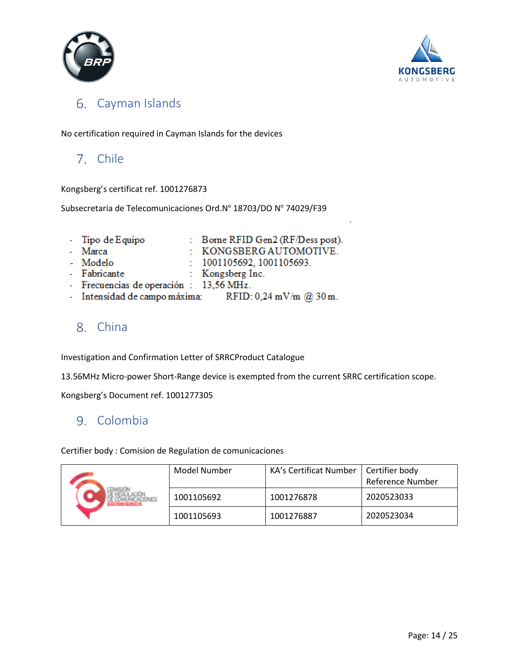



#### <span id="page-13-0"></span>6. Cayman Islands

No certification required in Cayman Islands for the devices

#### <span id="page-13-1"></span>7. Chile

Kongsberg's certificat ref. 1001276873

Subsecretaria de Telecomunicaciones Ord.Nº 18703/DO Nº 74029/F39

| - Tipo de Equipo                        | : Borne RFID Gen2 (RF/Dess post). |
|-----------------------------------------|-----------------------------------|
| - Marca                                 | : KONGSBERGAUTOMOTIVE.            |
| - Modelo                                | : 1001105692, 1001105693.         |
| - Fabricante                            | : Kongsberg Inc.                  |
| - Frecuencias de operación : 13,56 MHz. |                                   |
| - Intensidad de campo máxima:           | RFID: 0,24 mV/m @ 30 m.           |

#### <span id="page-13-2"></span>8. China

Investigation and Confirmation Letter of SRRCProduct Catalogue

13.56MHz Micro-power Short-Range device is exempted from the current SRRC certification scope.

Kongsberg's Document ref. 1001277305

#### <span id="page-13-3"></span>9. Colombia

Certifier body : Comision de Regulation de comunicaciones

|                         | Model Number | KA's Certificat Number | Certifier body<br><b>Reference Number</b> |
|-------------------------|--------------|------------------------|-------------------------------------------|
| <b>NUMBER OF STREET</b> | 1001105692   | 1001276878             | 2020523033                                |
|                         | 1001105693   | 1001276887             | 2020523034                                |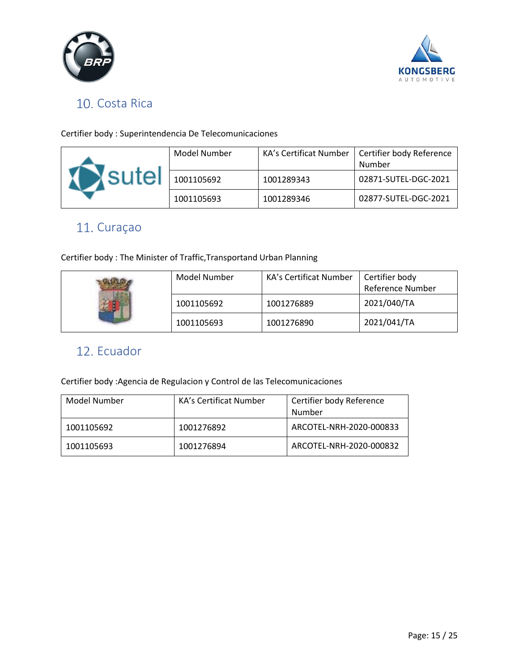



# <span id="page-14-0"></span>10. Costa Rica

Certifier body : Superintendencia De Telecomunicaciones

| Model Number | KA's Certificat Number | Certifier body Reference<br>Number |
|--------------|------------------------|------------------------------------|
| 1001105692   | 1001289343             | 02871-SUTEL-DGC-2021               |
| 1001105693   | 1001289346             | 02877-SUTEL-DGC-2021               |

## <span id="page-14-1"></span>11. Curaçao

Certifier body : The Minister of Traffic,Transportand Urban Planning

| Model Number | KA's Certificat Number | Certifier body   |
|--------------|------------------------|------------------|
|              |                        | Reference Number |
| 1001105692   | 1001276889             | 2021/040/TA      |
| 1001105693   | 1001276890             | 2021/041/TA      |

## <span id="page-14-2"></span>12. Ecuador

Certifier body :Agencia de Regulacion y Control de las Telecomunicaciones

| Model Number | <b>KA's Certificat Number</b> | Certifier body Reference |
|--------------|-------------------------------|--------------------------|
|              |                               | Number                   |
| 1001105692   | 1001276892                    | ARCOTEL-NRH-2020-000833  |
| 1001105693   | 1001276894                    | ARCOTEL-NRH-2020-000832  |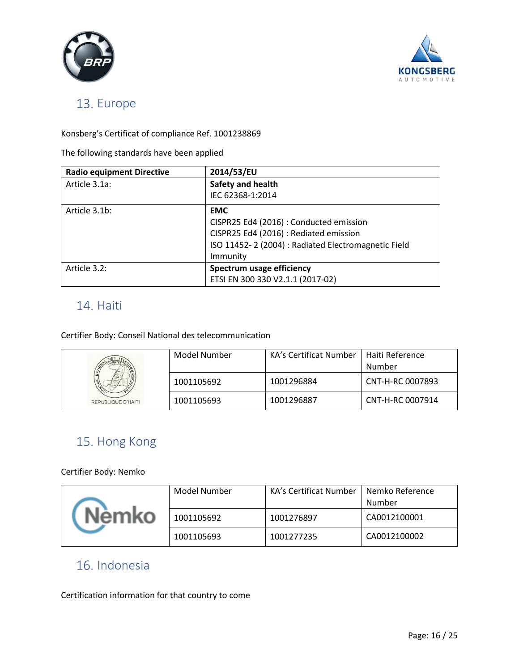



#### <span id="page-15-0"></span>13. Europe

#### Konsberg's Certificat of compliance Ref. 1001238869

The following standards have been applied

| <b>Radio equipment Directive</b> | 2014/53/EU                                          |  |
|----------------------------------|-----------------------------------------------------|--|
| Article 3.1a:                    | Safety and health                                   |  |
|                                  | IEC 62368-1:2014                                    |  |
| Article 3.1b:                    | <b>EMC</b>                                          |  |
|                                  | CISPR25 Ed4 (2016) : Conducted emission             |  |
|                                  | CISPR25 Ed4 (2016) : Rediated emission              |  |
|                                  | ISO 11452-2 (2004) : Radiated Electromagnetic Field |  |
|                                  | Immunity                                            |  |
| Article 3.2:                     | Spectrum usage efficiency                           |  |
|                                  | ETSI EN 300 330 V2.1.1 (2017-02)                    |  |

#### <span id="page-15-1"></span>14. Haiti

Certifier Body: Conseil National des telecommunication

|                    | Model Number | KA's Certificat Number | Haiti Reference  |
|--------------------|--------------|------------------------|------------------|
|                    |              |                        | Number           |
|                    | 1001105692   | 1001296884             | CNT-H-RC 0007893 |
| REPUBLIQUE D'HAITI | 1001105693   | 1001296887             | CNT-H-RC 0007914 |

# <span id="page-15-2"></span>15. Hong Kong

#### Certifier Body: Nemko

| Model Number | KA's Certificat Number | Nemko Reference<br>Number |
|--------------|------------------------|---------------------------|
| 1001105692   | 1001276897             | CA0012100001              |
| 1001105693   | 1001277235             | CA0012100002              |

#### <span id="page-15-3"></span>16. Indonesia

Certification information for that country to come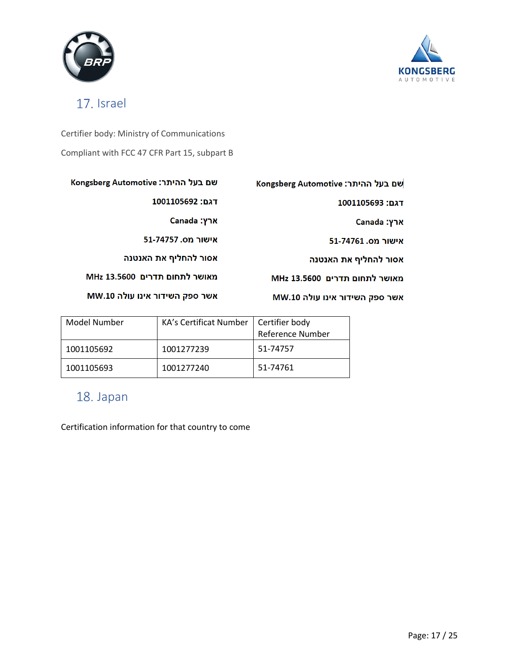



## <span id="page-16-0"></span>17. Israel

Certifier body: Ministry of Communications Compliant with FCC 47 CFR Part 15, subpart B

| שם בעל ההיתר: Kongsberg Automotive | שם בעל ההיתר: Kongsberg Automotive |
|------------------------------------|------------------------------------|
| דגם: 1001105692                    | דגם: 1001105693                    |
| <b>Kanada</b> :ארץ                 | <b>Kry: ארץ:</b>                   |
| אישור מס. 51-74757                 | אישור מס. 51-74761                 |
| אסור להחליף את האנטנה              | אסור להחליף את האנטנה              |
| מאושר לתחום תדרים MHz 13.5600      | מאושר לתחום תדרים MHz 13.5600      |
| MW.10 אשר ספק השידור אינו עולה     | אשר ספק השידור אינו עולה MW.10     |

| Model Number | <b>KA's Certificat Number</b> | Certifier body<br><b>Reference Number</b> |
|--------------|-------------------------------|-------------------------------------------|
| 1001105692   | 1001277239                    | 51-74757                                  |
| 1001105693   | 1001277240                    | 51-74761                                  |

## <span id="page-16-1"></span>18. Japan

Certification information for that country to come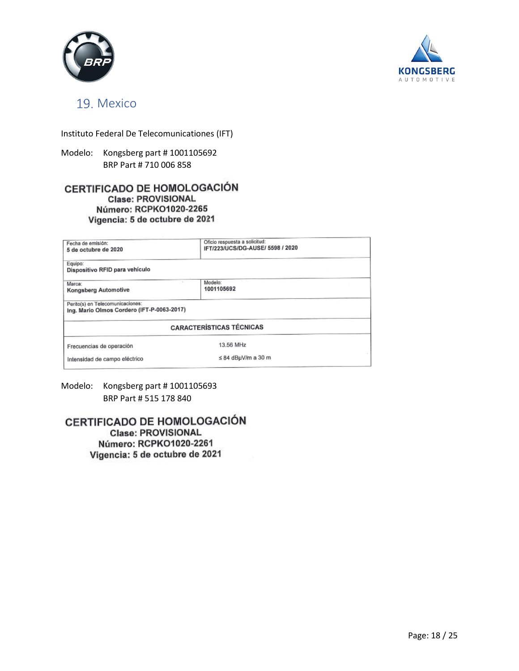



#### <span id="page-17-0"></span>19. Mexico

Instituto Federal De Telecomunicationes (IFT)

Modelo: Kongsberg part # 1001105692 BRP Part # 710 006 858

#### CERTIFICADO DE HOMOLOGACIÓN **Clase: PROVISIONAL** Número: RCPKO1020-2265 Vigencia: 5 de octubre de 2021

| Fecha de emisión:                          | Oficio respuesta a solicitud:    |
|--------------------------------------------|----------------------------------|
| 5 de octubre de 2020                       | IFT/223/UCS/DG-AUSE/ 5598 / 2020 |
| Equipo:                                    |                                  |
| Dispositivo RFID para vehículo             |                                  |
| Marca:                                     | Modelo:                          |
| <b>Kongsberg Automotive</b>                | 1001105692                       |
| Perito(s) en Telecomunicaciones:           |                                  |
| Ing. Mario Olmos Cordero (IFT-P-0063-2017) |                                  |
|                                            | <b>CARACTERÍSTICAS TÉCNICAS</b>  |
| Frecuencias de operación                   | 13.56 MHz                        |
|                                            |                                  |
| Intensidad de campo eléctrico              | $\leq$ 84 dBµV/m a 30 m          |

Modelo: Kongsberg part # 1001105693 BRP Part # 515 178 840

CERTIFICADO DE HOMOLOGACIÓN **Clase: PROVISIONAL** Número: RCPKO1020-2261 Vigencia: 5 de octubre de 2021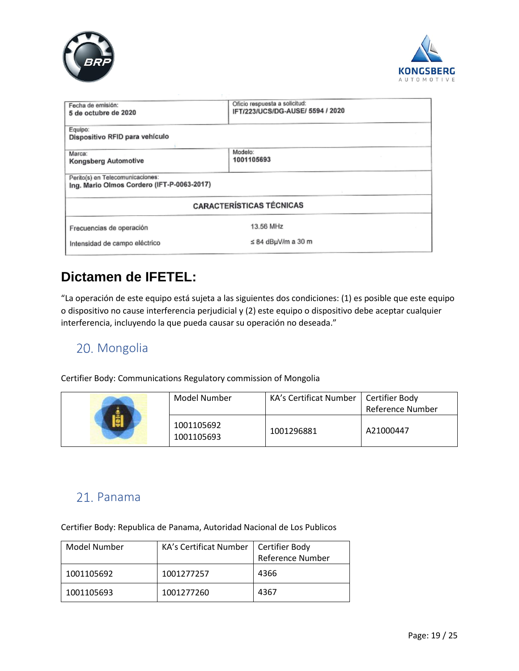



| Fecha de emisión:                                                              | Oficio respuesta a solicitud:<br>IFT/223/UCS/DG-AUSE/ 5594 / 2020 |
|--------------------------------------------------------------------------------|-------------------------------------------------------------------|
| 5 de octubre de 2020                                                           |                                                                   |
| Equipo:<br>Dispositivo RFID para vehículo                                      |                                                                   |
| Marca:                                                                         | Modelo:                                                           |
| <b>Kongsberg Automotive</b>                                                    | 1001105693                                                        |
| Perito(s) en Telecomunicaciones:<br>Ing. Mario Olmos Cordero (IFT-P-0063-2017) |                                                                   |
|                                                                                | <b>CARACTERÍSTICAS TÉCNICAS</b>                                   |
| Frecuencias de operación                                                       | 13.56 MHz                                                         |
| Intensidad de campo eléctrico                                                  | $\leq$ 84 dBµV/m a 30 m                                           |

# **Dictamen de IFETEL:**

"La operación de este equipo está sujeta a las siguientes dos condiciones: (1) es posible que este equipo o dispositivo no cause interferencia perjudicial y (2) este equipo o dispositivo debe aceptar cualquier interferencia, incluyendo la que pueda causar su operación no deseada."

## <span id="page-18-0"></span>20. Mongolia

Certifier Body: Communications Regulatory commission of Mongolia

| Model Number             | KA's Certificat Number | Certifier Body<br>Reference Number |
|--------------------------|------------------------|------------------------------------|
| 1001105692<br>1001105693 | 1001296881             | A21000447                          |

## <span id="page-18-1"></span>21. Panama

Certifier Body: Republica de Panama, Autoridad Nacional de Los Publicos

| <b>Model Number</b> | <b>KA's Certificat Number</b> | Certifier Body   |
|---------------------|-------------------------------|------------------|
|                     |                               | Reference Number |
| 1001105692          | 1001277257                    | 4366             |
| 1001105693          | 1001277260                    | 4367             |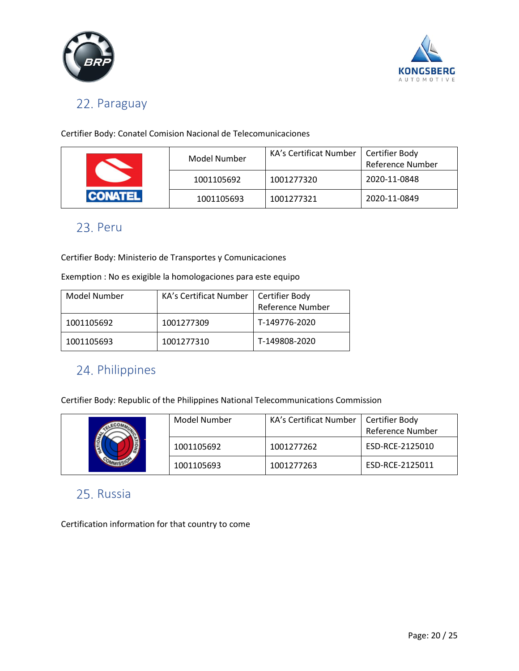



# <span id="page-19-0"></span>22. Paraguay

Certifier Body: Conatel Comision Nacional de Telecomunicaciones

| Model Number   | KA's Certificat Number | Certifier Body<br>Reference Number |              |
|----------------|------------------------|------------------------------------|--------------|
|                | 1001105692             | 1001277320                         | 2020-11-0848 |
| <b>CONATEL</b> | 1001105693             | 1001277321                         | 2020-11-0849 |

#### <span id="page-19-1"></span>23. Peru

Certifier Body: Ministerio de Transportes y Comunicaciones

Exemption : No es exigible la homologaciones para este equipo

| Model Number | KA's Certificat Number   Certifier Body |                  |
|--------------|-----------------------------------------|------------------|
|              |                                         | Reference Number |
| 1001105692   | 1001277309                              | T-149776-2020    |
| 1001105693   | 1001277310                              | T-149808-2020    |

## <span id="page-19-2"></span>24. Philippines

Certifier Body: Republic of the Philippines National Telecommunications Commission

| Model Number | KA's Certificat Number | Certifier Body<br><b>Reference Number</b> |
|--------------|------------------------|-------------------------------------------|
| 1001105692   | 1001277262             | ESD-RCE-2125010                           |
| 1001105693   | 1001277263             | ESD-RCE-2125011                           |

#### <span id="page-19-3"></span>25. Russia

Certification information for that country to come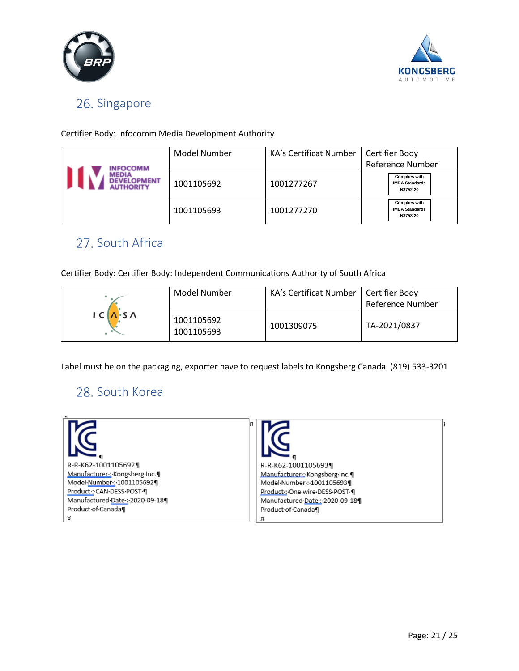



## <span id="page-20-0"></span>26. Singapore

#### Certifier Body: Infocomm Media Development Authority

| <b>OCOMM</b>   | Model Number | <b>KA's Certificat Number</b> | Certifier Body<br>Reference Number                        |
|----------------|--------------|-------------------------------|-----------------------------------------------------------|
| <b>LOPMENT</b> | 1001105692   | 1001277267                    | <b>Complies with</b><br><b>IMDA Standards</b><br>N3752-20 |
|                | 1001105693   | 1001277270                    | <b>Complies with</b><br><b>IMDA Standards</b><br>N3753-20 |

## <span id="page-20-1"></span>27. South Africa

Certifier Body: Certifier Body: Independent Communications Authority of South Africa

|          | Model Number             | KA's Certificat Number   Certifier Body | Reference Number |
|----------|--------------------------|-----------------------------------------|------------------|
| $ICIN-S$ | 1001105692<br>1001105693 | 1001309075                              | TA-2021/0837     |

Label must be on the packaging, exporter have to request labels to Kongsberg Canada (819) 533-3201

# <span id="page-20-2"></span>28. South Korea

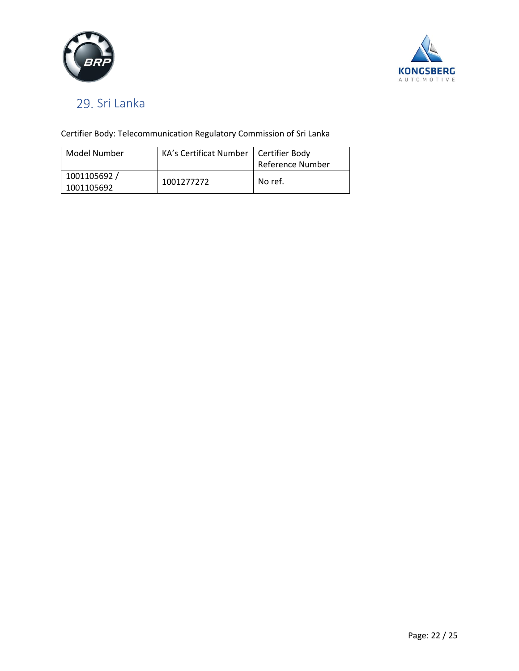



# <span id="page-21-0"></span>29. Sri Lanka

Certifier Body: Telecommunication Regulatory Commission of Sri Lanka

| Model Number              | KA's Certificat Number   Certifier Body | <b>Reference Number</b> |
|---------------------------|-----------------------------------------|-------------------------|
| 1001105692/<br>1001105692 | 1001277272                              | No ref.                 |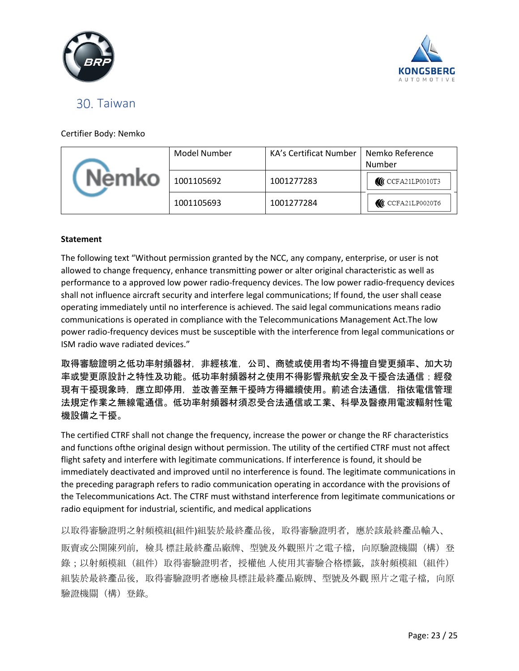



#### <span id="page-22-0"></span>30. Taiwan

Certifier Body: Nemko

|  | Model Number | <b>KA's Certificat Number</b><br>Nemko Reference<br>Number |                           |
|--|--------------|------------------------------------------------------------|---------------------------|
|  | 1001105692   | 1001277283                                                 | <b>III</b> CCFA21LP0010T3 |
|  | 1001105693   | 1001277284                                                 | <b>III</b> CCFA21LP0020T6 |

#### **Statement**

The following text "Without permission granted by the NCC, any company, enterprise, or user is not allowed to change frequency, enhance transmitting power or alter original characteristic as well as performance to a approved low power radio-frequency devices. The low power radio-frequency devices shall not influence aircraft security and interfere legal communications; If found, the user shall cease operating immediately until no interference is achieved. The said legal communications means radio communications is operated in compliance with the Telecommunications Management Act.The low power radio-frequency devices must be susceptible with the interference from legal communications or ISM radio wave radiated devices."

取得審驗證明之低功率射頻器材,非經核准,公司、商號或使用者均不得擅自變更頻率、加大功 率或變更原設計之特性及功能。低功率射頻器材之使用不得影響飛航安全及干擾合法通信;經發 現有干擾現象時,應立即停用,並改善至無干擾時方得繼續使用。前述合法通信,指依電信管理 法規定作業之無線電通信。低功率射頻器材須忍受合法通信或工業、科學及醫療用電波輻射性電 機設備之干擾。

The certified CTRF shall not change the frequency, increase the power or change the RF characteristics and functions ofthe original design without permission. The utility of the certified CTRF must not affect flight safety and interfere with legitimate communications. If interference is found, it should be immediately deactivated and improved until no interference is found. The legitimate communications in the preceding paragraph refers to radio communication operating in accordance with the provisions of the Telecommunications Act. The CTRF must withstand interference from legitimate communications or radio equipment for industrial, scientific, and medical applications

以取得審驗證明之射頻模組(組件)組裝於最終產品後,取得審驗證明者,應於該最終產品輸入、 販賣或公開陳列前,檢具 標註最終產品廠牌、型號及外觀照片之電子檔,向原驗證機關(構)登 錄;以射頻模組(組件)取得審驗證明者,授權他 人使用其審驗合格標籤,該射頻模組(組件) 組裝於最終產品後,取得審驗證明者應檢具標註最終產品廠牌、型號及外觀 照片之電子檔,向原 驗證機關(構)登錄。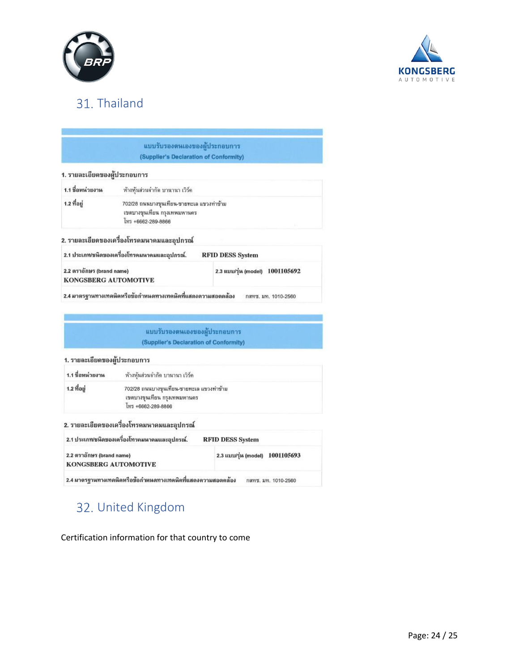



# <span id="page-23-0"></span>31. Thailand

|                                                          |                                                                                                 | แบบรับรองตนเองของผู้ประกอบการ          |  |
|----------------------------------------------------------|-------------------------------------------------------------------------------------------------|----------------------------------------|--|
|                                                          |                                                                                                 | (Supplier's Declaration of Conformity) |  |
| 1. รายละเอียดของผู้ประกอบการ                             |                                                                                                 |                                        |  |
| 1.1 ชื่อหน่วยงาน                                         | ห้างหุ้นส่วนจำกัด บานานา เวิร์ค                                                                 |                                        |  |
| 1.2 ที่อยู่                                              | 702/28 ถนนบางขุนเทียน-ขายทะเล แขวงท่าข้าม<br>เขตบางขุนเทียน กรุงเทพมหานคร<br>โทร +6662-289-8866 |                                        |  |
|                                                          | 2. รายละเอียดของเครื่องโทรคมนาคมและอุปกรณ์                                                      |                                        |  |
|                                                          | 2.1 ประเภท/ชนิดของเครื่องโทรคมนาคมและอุปกรณ์.                                                   | <b>RFID DESS System</b>                |  |
| 2.2 ตราอักษร (brand name)<br><b>KONGSBERG AUTOMOTIVE</b> |                                                                                                 | 2.3 แบบ/รุ่น (model)<br>1001105692     |  |
|                                                          | 2.4 มาตรฐานทางเทคนิคหรือข้อกำหนดทางเทคนิคที่แสดงความสอดคล้อง                                    | กสทช. มท. 1010-2560                    |  |
|                                                          |                                                                                                 |                                        |  |
|                                                          |                                                                                                 | แบบรับรองตนเองของผู้ประกอบการ          |  |
|                                                          |                                                                                                 | (Supplier's Declaration of Conformity) |  |
| 1. รายละเอียดของผู้ประกอบการ                             |                                                                                                 |                                        |  |
| 1.1 ชื่อหน่วยงาน                                         | ห้างหุ้นส่วนจำกัด บานานา เวิร์ค                                                                 |                                        |  |
| 1.2 ที่อยู่                                              | 702/28 ถนนบางขุนเทียน-ชายทะเล แขวงท่าข้าม                                                       |                                        |  |

#### 2. รายละเอียดของเครื่องโทรคมนาคมและอุปกรณ์

| 2.1 ประเภท/ชนิดของเครื่องโทรคมนาคมและอุปกรณ์.<br><b>RFID DESS System</b> |                                 |
|--------------------------------------------------------------------------|---------------------------------|
| 2.2 ตราอักษร (brand name)<br><b>KONGSBERG AUTOMOTIVE</b>                 | 2.3 แบบ/รุ่น (model) 1001105693 |
| 2.4 มาตรฐานทางเทคนิคหรือข้อกำหนดทางเทคนิคที่แสดงความสอดคล้อง             | กสทช. มท. 1010-2560             |

# <span id="page-23-1"></span>32. United Kingdom

Certification information for that country to come

เขตบางขุนเทียน กรุงเทพมหานคร  $\ln$  +6662-289-8866